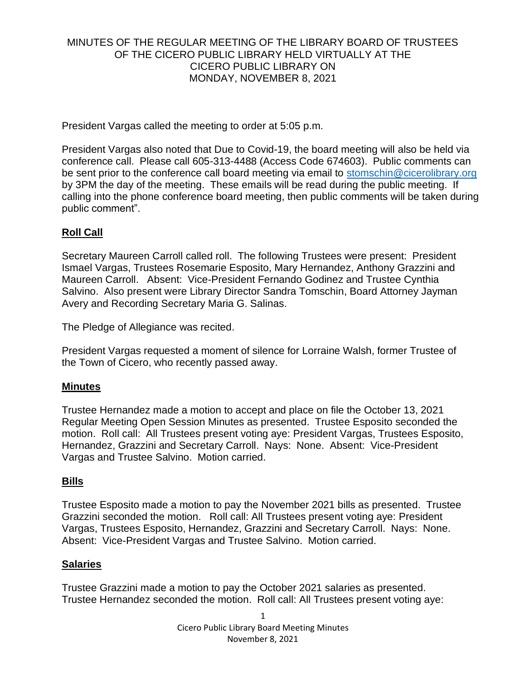### MINUTES OF THE REGULAR MEETING OF THE LIBRARY BOARD OF TRUSTEES OF THE CICERO PUBLIC LIBRARY HELD VIRTUALLY AT THE CICERO PUBLIC LIBRARY ON MONDAY, NOVEMBER 8, 2021

President Vargas called the meeting to order at 5:05 p.m.

President Vargas also noted that Due to Covid-19, the board meeting will also be held via conference call. Please call 605-313-4488 (Access Code 674603). Public comments can be sent prior to the conference call board meeting via email to [stomschin@cicerolibrary.org](mailto:stomschin@cicerolibrary.org) by 3PM the day of the meeting. These emails will be read during the public meeting. If calling into the phone conference board meeting, then public comments will be taken during public comment".

# **Roll Call**

Secretary Maureen Carroll called roll. The following Trustees were present: President Ismael Vargas, Trustees Rosemarie Esposito, Mary Hernandez, Anthony Grazzini and Maureen Carroll. Absent: Vice-President Fernando Godinez and Trustee Cynthia Salvino. Also present were Library Director Sandra Tomschin, Board Attorney Jayman Avery and Recording Secretary Maria G. Salinas.

The Pledge of Allegiance was recited.

President Vargas requested a moment of silence for Lorraine Walsh, former Trustee of the Town of Cicero, who recently passed away.

### **Minutes**

Trustee Hernandez made a motion to accept and place on file the October 13, 2021 Regular Meeting Open Session Minutes as presented. Trustee Esposito seconded the motion. Roll call: All Trustees present voting aye: President Vargas, Trustees Esposito, Hernandez, Grazzini and Secretary Carroll. Nays: None. Absent: Vice-President Vargas and Trustee Salvino. Motion carried.

# **Bills**

Trustee Esposito made a motion to pay the November 2021 bills as presented. Trustee Grazzini seconded the motion. Roll call: All Trustees present voting aye: President Vargas, Trustees Esposito, Hernandez, Grazzini and Secretary Carroll. Nays: None. Absent: Vice-President Vargas and Trustee Salvino. Motion carried.

### **Salaries**

Trustee Grazzini made a motion to pay the October 2021 salaries as presented. Trustee Hernandez seconded the motion. Roll call: All Trustees present voting aye: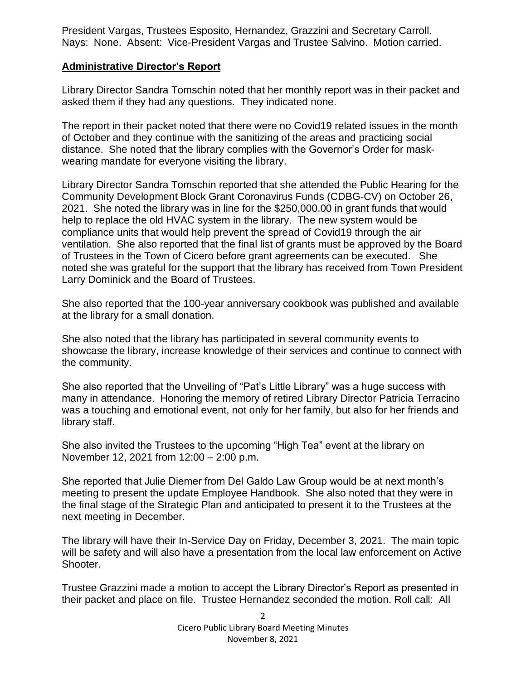President Vargas, Trustees Esposito, Hernandez, Grazzini and Secretary Carroll. Nays: None. Absent: Vice-President Vargas and Trustee Salvino. Motion carried.

## **Administrative Director's Report**

Library Director Sandra Tomschin noted that her monthly report was in their packet and asked them if they had any questions. They indicated none.

The report in their packet noted that there were no Covid19 related issues in the month of October and they continue with the sanitizing of the areas and practicing social distance. She noted that the library complies with the Governor's Order for maskwearing mandate for everyone visiting the library.

Library Director Sandra Tomschin reported that she attended the Public Hearing for the Community Development Block Grant Coronavirus Funds (CDBG-CV) on October 26, 2021. She noted the library was in line for the \$250,000.00 in grant funds that would help to replace the old HVAC system in the library. The new system would be compliance units that would help prevent the spread of Covid19 through the air ventilation. She also reported that the final list of grants must be approved by the Board of Trustees in the Town of Cicero before grant agreements can be executed. She noted she was grateful for the support that the library has received from Town President Larry Dominick and the Board of Trustees.

She also reported that the 100-year anniversary cookbook was published and available at the library for a small donation.

She also noted that the library has participated in several community events to showcase the library, increase knowledge of their services and continue to connect with the community.

She also reported that the Unveiling of "Pat's Little Library" was a huge success with many in attendance. Honoring the memory of retired Library Director Patricia Terracino was a touching and emotional event, not only for her family, but also for her friends and library staff.

She also invited the Trustees to the upcoming "High Tea" event at the library on November 12, 2021 from 12:00 – 2:00 p.m.

She reported that Julie Diemer from Del Galdo Law Group would be at next month's meeting to present the update Employee Handbook. She also noted that they were in the final stage of the Strategic Plan and anticipated to present it to the Trustees at the next meeting in December.

The library will have their In-Service Day on Friday, December 3, 2021. The main topic will be safety and will also have a presentation from the local law enforcement on Active Shooter.

Trustee Grazzini made a motion to accept the Library Director's Report as presented in their packet and place on file. Trustee Hernandez seconded the motion. Roll call: All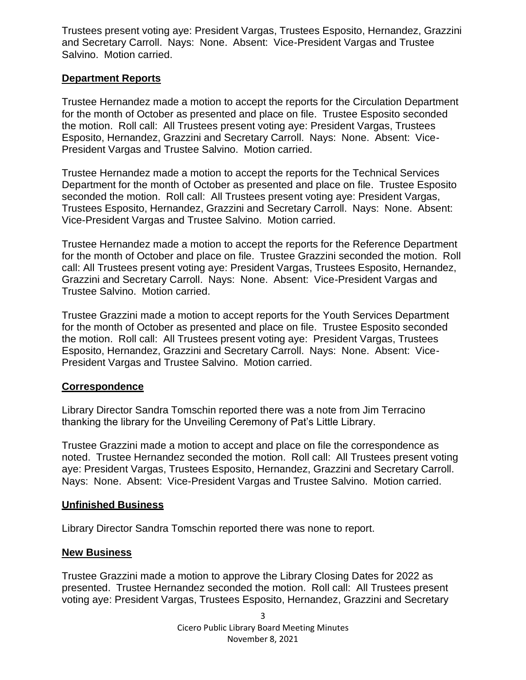Trustees present voting aye: President Vargas, Trustees Esposito, Hernandez, Grazzini and Secretary Carroll. Nays: None. Absent: Vice-President Vargas and Trustee Salvino. Motion carried.

## **Department Reports**

Trustee Hernandez made a motion to accept the reports for the Circulation Department for the month of October as presented and place on file. Trustee Esposito seconded the motion. Roll call: All Trustees present voting aye: President Vargas, Trustees Esposito, Hernandez, Grazzini and Secretary Carroll. Nays: None. Absent: Vice-President Vargas and Trustee Salvino. Motion carried.

Trustee Hernandez made a motion to accept the reports for the Technical Services Department for the month of October as presented and place on file. Trustee Esposito seconded the motion. Roll call: All Trustees present voting aye: President Vargas, Trustees Esposito, Hernandez, Grazzini and Secretary Carroll. Nays: None. Absent: Vice-President Vargas and Trustee Salvino. Motion carried.

Trustee Hernandez made a motion to accept the reports for the Reference Department for the month of October and place on file. Trustee Grazzini seconded the motion. Roll call: All Trustees present voting aye: President Vargas, Trustees Esposito, Hernandez, Grazzini and Secretary Carroll. Nays: None. Absent: Vice-President Vargas and Trustee Salvino. Motion carried.

Trustee Grazzini made a motion to accept reports for the Youth Services Department for the month of October as presented and place on file. Trustee Esposito seconded the motion. Roll call: All Trustees present voting aye: President Vargas, Trustees Esposito, Hernandez, Grazzini and Secretary Carroll. Nays: None. Absent: Vice-President Vargas and Trustee Salvino. Motion carried.

### **Correspondence**

Library Director Sandra Tomschin reported there was a note from Jim Terracino thanking the library for the Unveiling Ceremony of Pat's Little Library.

Trustee Grazzini made a motion to accept and place on file the correspondence as noted. Trustee Hernandez seconded the motion. Roll call: All Trustees present voting aye: President Vargas, Trustees Esposito, Hernandez, Grazzini and Secretary Carroll. Nays: None. Absent: Vice-President Vargas and Trustee Salvino. Motion carried.

### **Unfinished Business**

Library Director Sandra Tomschin reported there was none to report.

### **New Business**

Trustee Grazzini made a motion to approve the Library Closing Dates for 2022 as presented. Trustee Hernandez seconded the motion. Roll call: All Trustees present voting aye: President Vargas, Trustees Esposito, Hernandez, Grazzini and Secretary